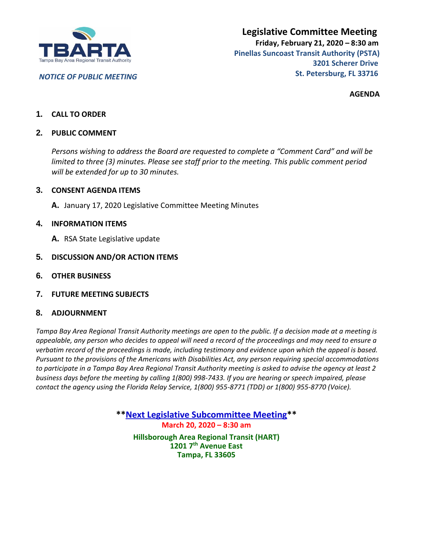

*NOTICE OF PUBLIC MEETING*

**AGENDA**

## **1. CALL TO ORDER**

## **2. PUBLIC COMMENT**

*Persons wishing to address the Board are requested to complete a "Comment Card" and will be limited to three (3) minutes. Please see staff prior to the meeting. This public comment period will be extended for up to 30 minutes.*

### **3. CONSENT AGENDA ITEMS**

**A.** January 17, 2020 Legislative Committee Meeting Minutes

### **4. INFORMATION ITEMS**

- **A.** RSA State Legislative update
- **5. DISCUSSION AND/OR ACTION ITEMS**
- **6. OTHER BUSINESS**
- **7. FUTURE MEETING SUBJECTS**

#### **8. ADJOURNMENT**

*Tampa Bay Area Regional Transit Authority meetings are open to the public. If a decision made at a meeting is appealable, any person who decides to appeal will need a record of the proceedings and may need to ensure a verbatim record of the proceedings is made, including testimony and evidence upon which the appeal is based. Pursuant to the provisions of the Americans with Disabilities Act, any person requiring special accommodations to participate in a Tampa Bay Area Regional Transit Authority meeting is asked to advise the agency at least 2 business days before the meeting by calling 1(800) 998-7433. If you are hearing or speech impaired, please contact the agency using the Florida Relay Service, 1(800) 955-8771 (TDD) or 1(800) 955-8770 (Voice).*

> **\*\*Next Legislative Subcommittee Meeting\*\* March 20, 2020 – 8:30 am Hillsborough Area Regional Transit (HART) 1201 7th Avenue East Tampa, FL 33605**